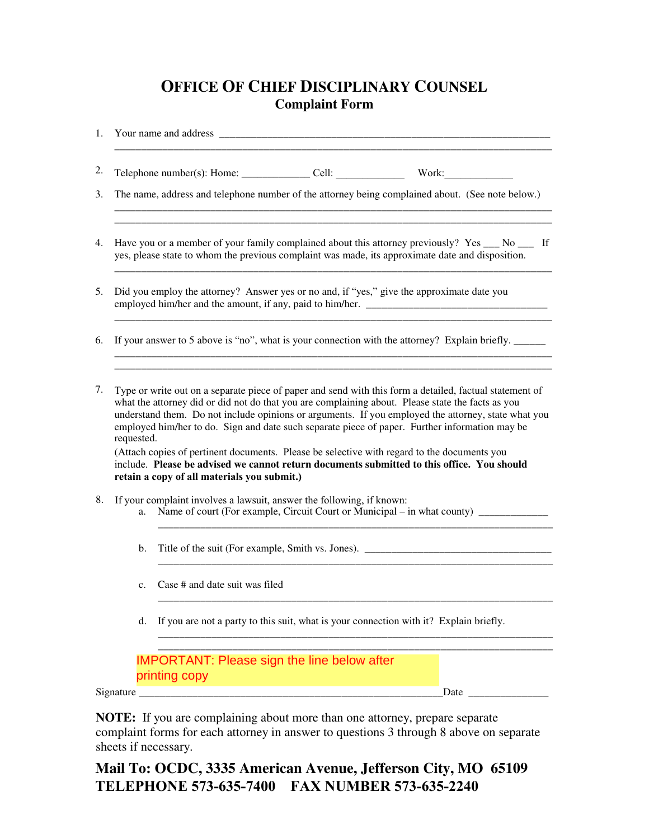## **OFFICE OF CHIEF DISCIPLINARY COUNSEL Complaint Form**

|    | 1. Your name and address and the same state of the same state of the state of the state of the state of the state of the state of the state of the state of the state of the state of the state of the state of the state of t                                                                                                                                                                                                                                                                                                                                                                                                                                                  |                                                                                                                                                           |                                                    |      |
|----|---------------------------------------------------------------------------------------------------------------------------------------------------------------------------------------------------------------------------------------------------------------------------------------------------------------------------------------------------------------------------------------------------------------------------------------------------------------------------------------------------------------------------------------------------------------------------------------------------------------------------------------------------------------------------------|-----------------------------------------------------------------------------------------------------------------------------------------------------------|----------------------------------------------------|------|
| 2. |                                                                                                                                                                                                                                                                                                                                                                                                                                                                                                                                                                                                                                                                                 |                                                                                                                                                           |                                                    |      |
| 3. | The name, address and telephone number of the attorney being complained about. (See note below.)                                                                                                                                                                                                                                                                                                                                                                                                                                                                                                                                                                                |                                                                                                                                                           |                                                    |      |
| 4. | Have you or a member of your family complained about this attorney previously? Yes ___ No ___ If<br>yes, please state to whom the previous complaint was made, its approximate date and disposition.                                                                                                                                                                                                                                                                                                                                                                                                                                                                            |                                                                                                                                                           |                                                    |      |
| 5. | Did you employ the attorney? Answer yes or no and, if "yes," give the approximate date you                                                                                                                                                                                                                                                                                                                                                                                                                                                                                                                                                                                      |                                                                                                                                                           |                                                    |      |
| 6. | If your answer to 5 above is "no", what is your connection with the attorney? Explain briefly.                                                                                                                                                                                                                                                                                                                                                                                                                                                                                                                                                                                  |                                                                                                                                                           |                                                    |      |
| 7. | Type or write out on a separate piece of paper and send with this form a detailed, factual statement of<br>what the attorney did or did not do that you are complaining about. Please state the facts as you<br>understand them. Do not include opinions or arguments. If you employed the attorney, state what you<br>employed him/her to do. Sign and date such separate piece of paper. Further information may be<br>requested.<br>(Attach copies of pertinent documents. Please be selective with regard to the documents you<br>include. Please be advised we cannot return documents submitted to this office. You should<br>retain a copy of all materials you submit.) |                                                                                                                                                           |                                                    |      |
| 8. | a.                                                                                                                                                                                                                                                                                                                                                                                                                                                                                                                                                                                                                                                                              | If your complaint involves a lawsuit, answer the following, if known:<br>Name of court (For example, Circuit Court or Municipal – in what county) _______ |                                                    |      |
|    | b.                                                                                                                                                                                                                                                                                                                                                                                                                                                                                                                                                                                                                                                                              |                                                                                                                                                           |                                                    |      |
|    | C <sub>1</sub>                                                                                                                                                                                                                                                                                                                                                                                                                                                                                                                                                                                                                                                                  | Case # and date suit was filed                                                                                                                            |                                                    |      |
|    | d.                                                                                                                                                                                                                                                                                                                                                                                                                                                                                                                                                                                                                                                                              | If you are not a party to this suit, what is your connection with it? Explain briefly.                                                                    |                                                    |      |
|    |                                                                                                                                                                                                                                                                                                                                                                                                                                                                                                                                                                                                                                                                                 | printing copy                                                                                                                                             | <b>IMPORTANT: Please sign the line below after</b> |      |
|    |                                                                                                                                                                                                                                                                                                                                                                                                                                                                                                                                                                                                                                                                                 |                                                                                                                                                           |                                                    | Date |

**NOTE:** If you are complaining about more than one attorney, prepare separate complaint forms for each attorney in answer to questions 3 through 8 above on separate sheets if necessary.

**Mail To: OCDC, 3335 American Avenue, Jefferson City, MO 65109 TELEPHONE 573-635-7400 FAX NUMBER 573-635-2240**